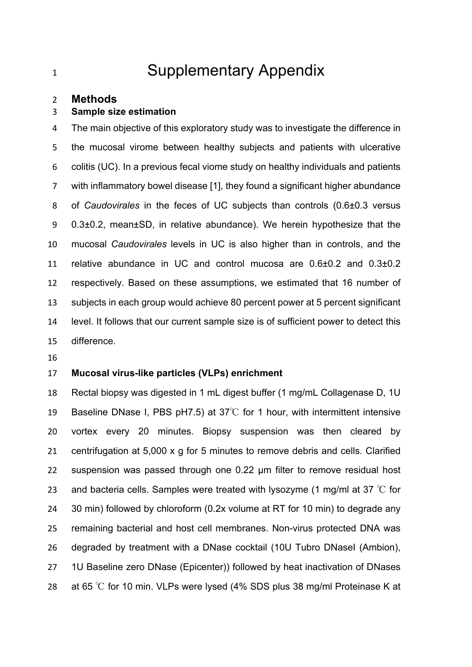# 1 Supplementary Appendix

#### **Methods**

#### **Sample size estimation**

 The main objective of this exploratory study was to investigate the difference in the mucosal virome between healthy subjects and patients with ulcerative colitis (UC). In a previous fecal viome study on healthy individuals and patients with inflammatory bowel disease [1], they found a significant higher abundance of *Caudovirales* in the feces of UC subjects than controls (0.6±0.3 versus 0.3±0.2, mean±SD, in relative abundance). We herein hypothesize that the mucosal *Caudovirales* levels in UC is also higher than in controls, and the relative abundance in UC and control mucosa are 0.6±0.2 and 0.3±0.2 respectively. Based on these assumptions, we estimated that 16 number of subjects in each group would achieve 80 percent power at 5 percent significant level. It follows that our current sample size is of sufficient power to detect this difference.

#### **Mucosal virus-like particles (VLPs) enrichment**

 Rectal biopsy was digested in 1 mL digest buffer (1 mg/mL Collagenase D, 1U Baseline DNase I, PBS pH7.5) at 37℃ for 1 hour, with intermittent intensive vortex every 20 minutes. Biopsy suspension was then cleared by centrifugation at 5,000 x g for 5 minutes to remove debris and cells. Clarified suspension was passed through one 0.22 µm filter to remove residual host 23 and bacteria cells. Samples were treated with lysozyme (1 mg/ml at 37  $^{\circ}$ C for 30 min) followed by chloroform (0.2x volume at RT for 10 min) to degrade any remaining bacterial and host cell membranes. Non-virus protected DNA was 26 degraded by treatment with a DNase cocktail (10U Tubro DNasel (Ambion), 1U Baseline zero DNase (Epicenter)) followed by heat inactivation of DNases at 65 ℃ for 10 min. VLPs were lysed (4% SDS plus 38 mg/ml Proteinase K at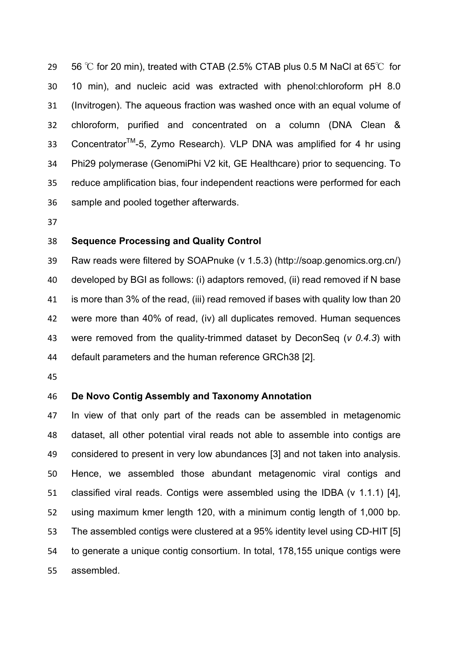29 56 °C for 20 min), treated with CTAB (2.5% CTAB plus 0.5 M NaCl at 65 $\degree$ C for 10 min), and nucleic acid was extracted with phenol:chloroform pH 8.0 (Invitrogen). The aqueous fraction was washed once with an equal volume of chloroform, purified and concentrated on a column (DNA Clean & 33 Concentrator<sup>™</sup>-5, Zymo Research). VLP DNA was amplified for 4 hr using Phi29 polymerase (GenomiPhi V2 kit, GE Healthcare) prior to sequencing. To reduce amplification bias, four independent reactions were performed for each sample and pooled together afterwards.

#### **Sequence Processing and Quality Control**

 Raw reads were filtered by SOAPnuke (v 1.5.3) (http://soap.genomics.org.cn/) developed by BGI as follows: (i) adaptors removed, (ii) read removed if N base is more than 3% of the read, (iii) read removed if bases with quality low than 20 were more than 40% of read, (iv) all duplicates removed. Human sequences were removed from the quality-trimmed dataset by DeconSeq (*v 0.4.3*) with default parameters and the human reference GRCh38 [2].

#### **De Novo Contig Assembly and Taxonomy Annotation**

 In view of that only part of the reads can be assembled in metagenomic dataset, all other potential viral reads not able to assemble into contigs are considered to present in very low abundances [3] and not taken into analysis. Hence, we assembled those abundant metagenomic viral contigs and classified viral reads. Contigs were assembled using the IDBA (v 1.1.1) [4], using maximum kmer length 120, with a minimum contig length of 1,000 bp. The assembled contigs were clustered at a 95% identity level using CD-HIT [5] to generate a unique contig consortium. In total, 178,155 unique contigs were assembled.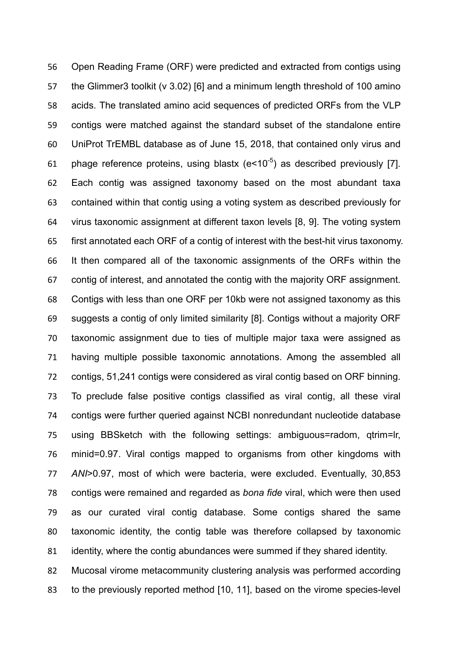Open Reading Frame (ORF) were predicted and extracted from contigs using the Glimmer3 toolkit (v 3.02) [6] and a minimum length threshold of 100 amino acids. The translated amino acid sequences of predicted ORFs from the VLP contigs were matched against the standard subset of the standalone entire UniProt TrEMBL database as of June 15, 2018, that contained only virus and 61 phage reference proteins, using blastx  $(e<10^{-5})$  as described previously [7]. Each contig was assigned taxonomy based on the most abundant taxa contained within that contig using a voting system as described previously for virus taxonomic assignment at different taxon levels [8, 9]. The voting system first annotated each ORF of a contig of interest with the best-hit virus taxonomy. It then compared all of the taxonomic assignments of the ORFs within the contig of interest, and annotated the contig with the majority ORF assignment. Contigs with less than one ORF per 10kb were not assigned taxonomy as this suggests a contig of only limited similarity [8]. Contigs without a majority ORF taxonomic assignment due to ties of multiple major taxa were assigned as having multiple possible taxonomic annotations. Among the assembled all contigs, 51,241 contigs were considered as viral contig based on ORF binning. To preclude false positive contigs classified as viral contig, all these viral contigs were further queried against NCBI nonredundant nucleotide database using BBSketch with the following settings: ambiguous=radom, qtrim=lr, minid=0.97. Viral contigs mapped to organisms from other kingdoms with *ANI*>0.97, most of which were bacteria, were excluded. Eventually, 30,853 contigs were remained and regarded as *bona fide* viral, which were then used as our curated viral contig database. Some contigs shared the same taxonomic identity, the contig table was therefore collapsed by taxonomic identity, where the contig abundances were summed if they shared identity.

 Mucosal virome metacommunity clustering analysis was performed according 83 to the previously reported method [10, 11], based on the virome species-level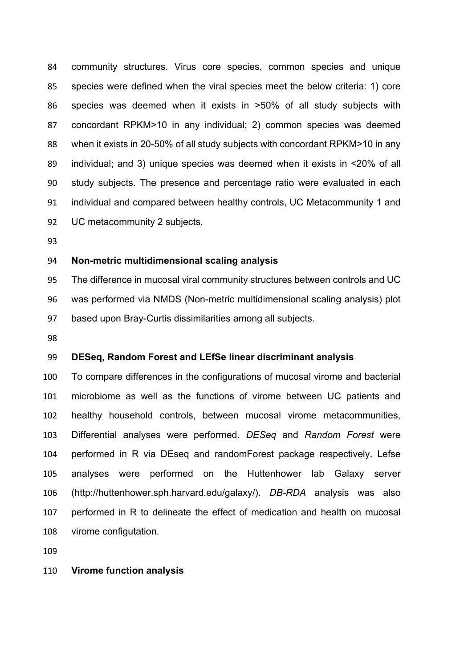community structures. Virus core species, common species and unique species were defined when the viral species meet the below criteria: 1) core species was deemed when it exists in >50% of all study subjects with concordant RPKM>10 in any individual; 2) common species was deemed when it exists in 20-50% of all study subjects with concordant RPKM>10 in any individual; and 3) unique species was deemed when it exists in <20% of all study subjects. The presence and percentage ratio were evaluated in each individual and compared between healthy controls, UC Metacommunity 1 and UC metacommunity 2 subjects.

#### **Non-metric multidimensional scaling analysis**

 The difference in mucosal viral community structures between controls and UC was performed via NMDS (Non-metric multidimensional scaling analysis) plot based upon Bray-Curtis dissimilarities among all subjects.

#### **DESeq, Random Forest and LEfSe linear discriminant analysis**

 To compare differences in the configurations of mucosal virome and bacterial microbiome as well as the functions of virome between UC patients and healthy household controls, between mucosal virome metacommunities, Differential analyses were performed. *DESeq* and *Random Forest* were performed in R via DEseq and randomForest package respectively. Lefse analyses were performed on the Huttenhower lab Galaxy server (http://huttenhower.sph.harvard.edu/galaxy/). *DB-RDA* analysis was also performed in R to delineate the effect of medication and health on mucosal virome configutation.

#### **Virome function analysis**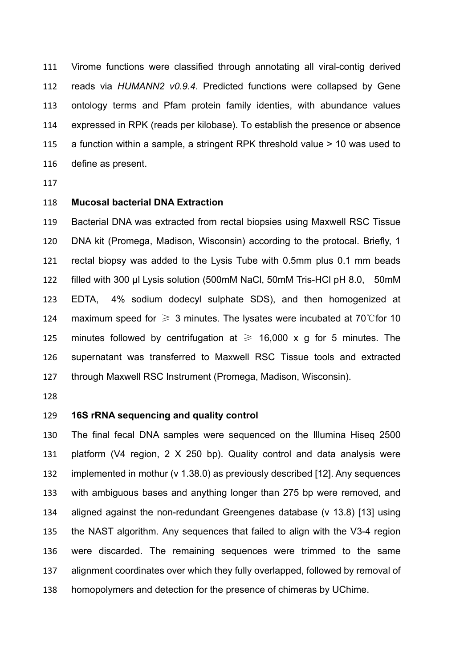Virome functions were classified through annotating all viral-contig derived reads via *HUMANN2 v0.9.4*. Predicted functions were collapsed by Gene ontology terms and Pfam protein family identies, with abundance values expressed in RPK (reads per kilobase). To establish the presence or absence a function within a sample, a stringent RPK threshold value > 10 was used to define as present.

#### **Mucosal bacterial DNA Extraction**

 Bacterial DNA was extracted from rectal biopsies using Maxwell RSC Tissue DNA kit (Promega, Madison, Wisconsin) according to the protocal. Briefly, 1 rectal biopsy was added to the Lysis Tube with 0.5mm plus 0.1 mm beads filled with 300 μl Lysis solution (500mM NaCl, 50mM Tris-HCl pH 8.0, 50mM EDTA, 4% sodium dodecyl sulphate SDS), and then homogenized at 124 maximum speed for  $\geq 3$  minutes. The lysates were incubated at 70°C for 10 125 minutes followed by centrifugation at  $\geq$  16,000 x g for 5 minutes. The supernatant was transferred to Maxwell RSC Tissue tools and extracted through Maxwell RSC Instrument (Promega, Madison, Wisconsin).

#### **16S rRNA sequencing and quality control**

 The final fecal DNA samples were sequenced on the Illumina Hiseq 2500 platform (V4 region, 2 X 250 bp). Quality control and data analysis were implemented in mothur (v 1.38.0) as previously described [12]. Any sequences with ambiguous bases and anything longer than 275 bp were removed, and aligned against the non-redundant Greengenes database (v 13.8) [13] using the NAST algorithm. Any sequences that failed to align with the V3-4 region were discarded. The remaining sequences were trimmed to the same alignment coordinates over which they fully overlapped, followed by removal of homopolymers and detection for the presence of chimeras by UChime.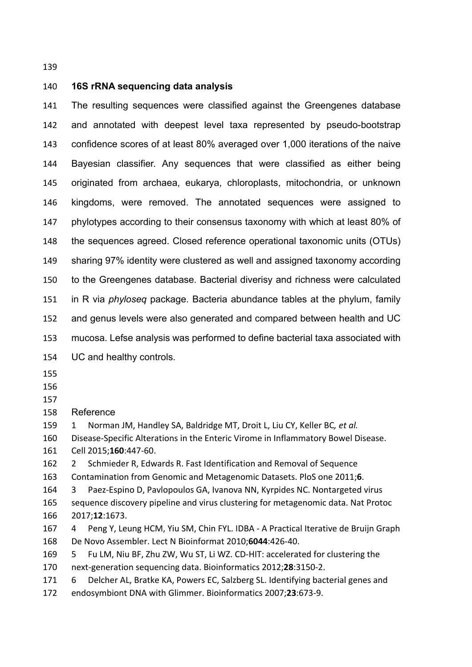#### **16S rRNA sequencing data analysis**

 The resulting sequences were classified against the Greengenes database and annotated with deepest level taxa represented by pseudo-bootstrap confidence scores of at least 80% averaged over 1,000 iterations of the naive Bayesian classifier. Any sequences that were classified as either being originated from archaea, eukarya, chloroplasts, mitochondria, or unknown kingdoms, were removed. The annotated sequences were assigned to phylotypes according to their consensus taxonomy with which at least 80% of the sequences agreed. Closed reference operational taxonomic units (OTUs) sharing 97% identity were clustered as well and assigned taxonomy according to the Greengenes database. Bacterial diverisy and richness were calculated in R via *phyloseq* package. Bacteria abundance tables at the phylum, family and genus levels were also generated and compared between health and UC mucosa. Lefse analysis was performed to define bacterial taxa associated with UC and healthy controls.

Reference

159 1 Norman JM, Handley SA, Baldridge MT, Droit L, Liu CY, Keller BC, et al. 160 Disease-Specific Alterations in the Enteric Virome in Inflammatory Bowel Disease. Cell 2015;**160**:447-60.

162 2 Schmieder R, Edwards R. Fast Identification and Removal of Sequence

163 Contamination from Genomic and Metagenomic Datasets. PloS one 2011;6.

164 3 Paez-Espino D, Pavlopoulos GA, Ivanova NN, Kyrpides NC. Nontargeted virus 165 sequence discovery pipeline and virus clustering for metagenomic data. Nat Protoc 2017;**12**:1673.

167 4 Peng Y, Leung HCM, Yiu SM, Chin FYL. IDBA - A Practical Iterative de Bruijn Graph De Novo Assembler. Lect N Bioinformat 2010;**6044**:426-40.

169 5 Fu LM, Niu BF, Zhu ZW, Wu ST, Li WZ. CD-HIT: accelerated for clustering the 170 next-generation sequencing data. Bioinformatics 2012;28:3150-2.

171 6 Delcher AL, Bratke KA, Powers EC, Salzberg SL. Identifying bacterial genes and endosymbiont DNA with Glimmer. Bioinformatics 2007;**23**:673-9.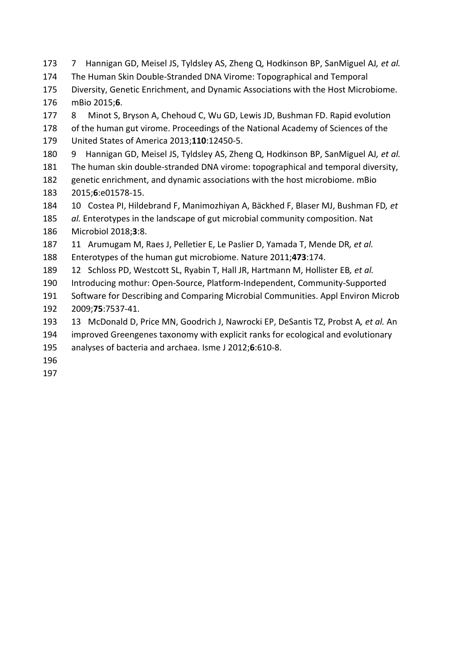173 7 Hannigan GD, Meisel JS, Tyldsley AS, Zheng Q, Hodkinson BP, SanMiguel AJ, et al. 174 The Human Skin Double-Stranded DNA Virome: Topographical and Temporal 175 Diversity, Genetic Enrichment, and Dynamic Associations with the Host Microbiome. 176 mBio 2015;**6**. 177 8 Minot S, Bryson A, Chehoud C, Wu GD, Lewis JD, Bushman FD. Rapid evolution 178 of the human gut virome. Proceedings of the National Academy of Sciences of the 179 United States of America 2013;**110**:12450-5. 180 9 Hannigan GD, Meisel JS, Tyldsley AS, Zheng Q, Hodkinson BP, SanMiguel AJ, et al. 181 The human skin double-stranded DNA virome: topographical and temporal diversity, 182 genetic enrichment, and dynamic associations with the host microbiome. mBio 183 2015;**6**:e01578-15. 184 10 Costea PI, Hildebrand F, Manimozhiyan A, Bäckhed F, Blaser MJ, Bushman FD, et 185 *al.* Enterotypes in the landscape of gut microbial community composition. Nat 186 Microbiol 2018;**3**:8. 187 11 Arumugam M, Raes J, Pelletier E, Le Paslier D, Yamada T, Mende DR, et al. 188 Enterotypes of the human gut microbiome. Nature 2011;473:174. 189 12 Schloss PD, Westcott SL, Ryabin T, Hall JR, Hartmann M, Hollister EB, et al. 190 Introducing mothur: Open-Source, Platform-Independent, Community-Supported 191 Software for Describing and Comparing Microbial Communities. Appl Environ Microb 192 2009;**75**:7537-41. 193 13 McDonald D, Price MN, Goodrich J, Nawrocki EP, DeSantis TZ, Probst A, et al. An 194 improved Greengenes taxonomy with explicit ranks for ecological and evolutionary

- 195 analyses of bacteria and archaea. Isme J 2012;6:610-8.
- 196
- 197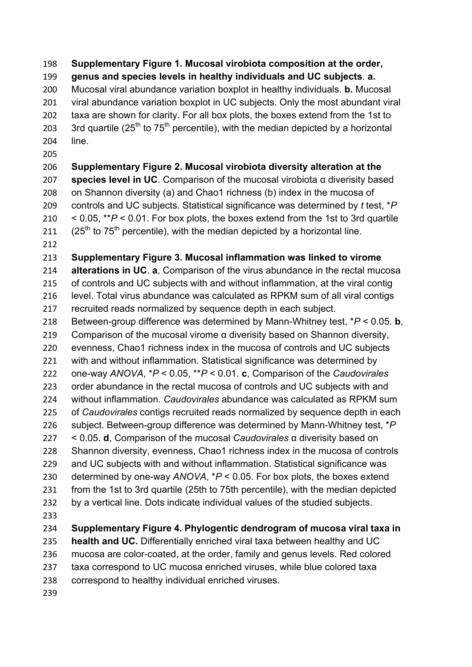**Supplementary Figure 1. Mucosal virobiota composition at the order, genus and species levels in healthy individuals and UC subjects**. **a.**  Mucosal viral abundance variation boxplot in healthy individuals. **b.** Mucosal viral abundance variation boxplot in UC subjects. Only the most abundant viral taxa are shown for clarity. For all box plots, the boxes extend from the 1st to 203 3rd quartile  $(25<sup>th</sup>$  to  $75<sup>th</sup>$  percentile), with the median depicted by a horizontal line. **Supplementary Figure 2. Mucosal virobiota diversity alteration at the species level in UC**. Comparison of the mucosal virobiota α diverisity based 208 on Shannon diversity (a) and Chao1 richness (b) index in the mucosa of controls and UC subjects. Statistical significance was determined by *t* test, \**P* < 0.05, \*\**P* < 0.01. For box plots, the boxes extend from the 1st to 3rd quartile  $(25<sup>th</sup>$  to  $75<sup>th</sup>$  percentile), with the median depicted by a horizontal line. **Supplementary Figure 3. Mucosal inflammation was linked to virome alterations in UC**. **a**, Comparison of the virus abundance in the rectal mucosa of controls and UC subjects with and without inflammation, at the viral contig level. Total virus abundance was calculated as RPKM sum of all viral contigs recruited reads normalized by sequence depth in each subject. Between-group difference was determined by Mann-Whitney test, \**P* < 0.05. **b**, 219 Comparison of the mucosal virome  $\alpha$  diverisity based on Shannon diversity, evenness, Chao1 richness index in the mucosa of controls and UC subjects with and without inflammation. Statistical significance was determined by one-way *ANOVA*, \**P* < 0.05, \*\**P* < 0.01. **c**, Comparison of the *Caudovirales* order abundance in the rectal mucosa of controls and UC subjects with and without inflammation. *Caudovirales* abundance was calculated as RPKM sum of *Caudovirales* contigs recruited reads normalized by sequence depth in each subject. Between-group difference was determined by Mann-Whitney test, \**P* < 0.05. **d**, Comparison of the mucosal *Caudovirales* α diverisity based on Shannon diversity, evenness, Chao1 richness index in the mucosa of controls and UC subjects with and without inflammation. Statistical significance was determined by one-way *ANOVA*, \**P* < 0.05. For box plots, the boxes extend from the 1st to 3rd quartile (25th to 75th percentile), with the median depicted by a vertical line. Dots indicate individual values of the studied subjects. **Supplementary Figure 4. Phylogentic dendrogram of mucosa viral taxa in health and UC.** Differentially enriched viral taxa between healthy and UC mucosa are color-coated, at the order, family and genus levels. Red colored taxa correspond to UC mucosa enriched viruses, while blue colored taxa correspond to healthy individual enriched viruses.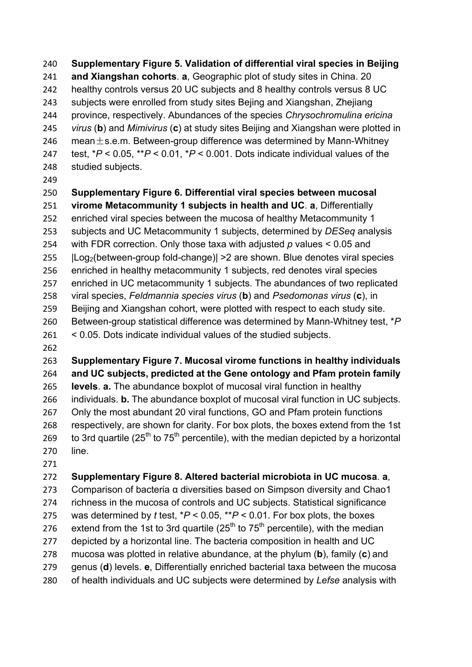**Supplementary Figure 5. Validation of differential viral species in Beijing and Xiangshan cohorts**. **a**, Geographic plot of study sites in China. 20 healthy controls versus 20 UC subjects and 8 healthy controls versus 8 UC subjects were enrolled from study sites Bejing and Xiangshan, Zhejiang province, respectively. Abundances of the species *Chrysochromulina ericina virus* (**b**) and *Mimivirus* (**c**) at study sites Beijing and Xiangshan were plotted in 246 mean $\pm$ s.e.m. Between-group difference was determined by Mann-Whitney test, \**P* < 0.05, \*\**P* < 0.01, \**P* < 0.001. Dots indicate individual values of the studied subjects.

# **Supplementary Figure 6. Differential viral species between mucosal**

**virome Metacommunity 1 subjects in health and UC**. **a**, Differentially

 enriched viral species between the mucosa of healthy Metacommunity 1 subjects and UC Metacommunity 1 subjects, determined by *DESeq* analysis with FDR correction. Only those taxa with adjusted *p* values < 0.05 and |Log2(between-group fold-change)| >2 are shown. Blue denotes viral species enriched in healthy metacommunity 1 subjects, red denotes viral species enriched in UC metacommunity 1 subjects. The abundances of two replicated viral species, *Feldmannia species virus* (**b**) and *Psedomonas virus* (**c**), in Beijing and Xiangshan cohort, were plotted with respect to each study site. Between-group statistical difference was determined by Mann-Whitney test, \**P* < 0.05. Dots indicate individual values of the studied subjects.

### **Supplementary Figure 7. Mucosal virome functions in healthy individuals and UC subjects, predicted at the Gene ontology and Pfam protein family levels**. **a.** The abundance boxplot of mucosal viral function in healthy individuals. **b.** The abundance boxplot of mucosal viral function in UC subjects. Only the most abundant 20 viral functions, GO and Pfam protein functions

 respectively, are shown for clarity. For box plots, the boxes extend from the 1st 269 to 3rd quartile ( $25<sup>th</sup>$  to 75<sup>th</sup> percentile), with the median depicted by a horizontal line.

## **Supplementary Figure 8. Altered bacterial microbiota in UC mucosa**. **a**,

 Comparison of bacteria α diversities based on Simpson diversity and Chao1 richness in the mucosa of controls and UC subjects. Statistical significance 275 was determined by  $t$  test,  $*P < 0.05$ ,  $*P < 0.01$ . For box plots, the boxes 276 extend from the 1st to 3rd quartile  $(25<sup>th</sup>$  to 75<sup>th</sup> percentile), with the median 277 depicted by a horizontal line. The bacteria composition in health and UC mucosa was plotted in relative abundance, at the phylum (**b**), family (**c**) and genus (**d**) levels. **e**, Differentially enriched bacterial taxa between the mucosa of health individuals and UC subjects were determined by *Lefse* analysis with